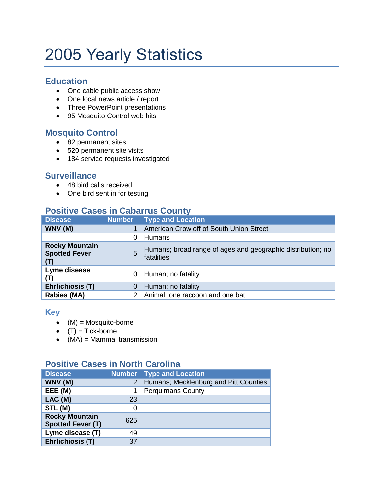# 2005 Yearly Statistics

#### **Education**

- One cable public access show
- One local news article / report
- Three PowerPoint presentations
- 95 Mosquito Control web hits

### **Mosquito Control**

- 82 permanent sites
- 520 permanent site visits
- 184 service requests investigated

#### **Surveillance**

- 48 bird calls received
- One bird sent in for testing

# **Positive Cases in Cabarrus County**

| <b>Disease</b>                                       | <b>Number</b> | <b>Type and Location</b>                                                  |  |
|------------------------------------------------------|---------------|---------------------------------------------------------------------------|--|
| WNV (M)                                              |               | American Crow off of South Union Street                                   |  |
|                                                      | $\Omega$      | Humans                                                                    |  |
| <b>Rocky Mountain</b><br><b>Spotted Fever</b><br>(T) | 5             | Humans; broad range of ages and geographic distribution; no<br>fatalities |  |
| Lyme disease<br>(T)                                  | 0             | Human; no fatality                                                        |  |
| <b>Ehrlichiosis (T)</b>                              | 0             | Human; no fatality                                                        |  |
| <b>Rabies (MA)</b>                                   |               | Animal: one raccoon and one bat                                           |  |

#### **Key**

- $(M) = \text{Mosquito-borne}$
- $(T) =$ Tick-borne
- $(MA) = Mammal transmission$

## **Positive Cases in North Carolina**

| <b>Disease</b>                                    |     | <b>Number</b> Type and Location         |
|---------------------------------------------------|-----|-----------------------------------------|
| WNV (M)                                           |     | 2 Humans; Mecklenburg and Pitt Counties |
| EEE (M)                                           | 1   | <b>Perquimans County</b>                |
| LAC(M)                                            | 23  |                                         |
| STL (M)                                           | 0   |                                         |
| <b>Rocky Mountain</b><br><b>Spotted Fever (T)</b> | 625 |                                         |
| Lyme disease (T)                                  | 49  |                                         |
| <b>Ehrlichiosis (T)</b>                           | 37  |                                         |